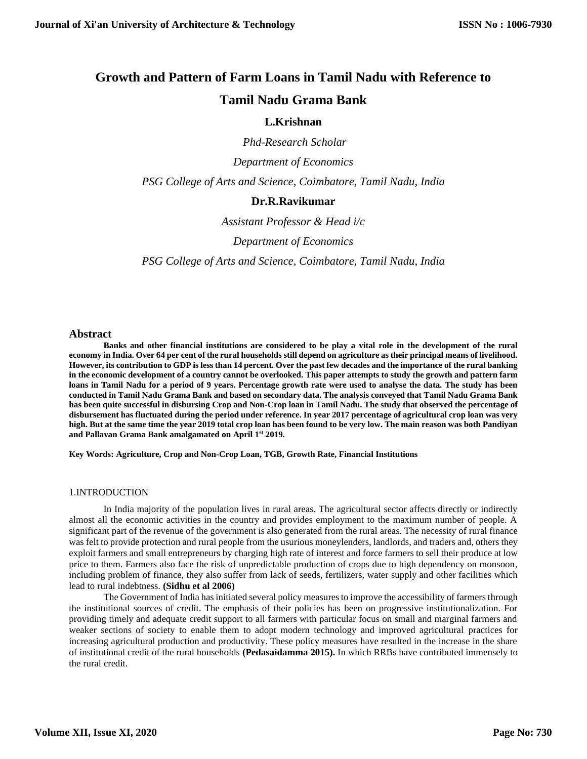# **Growth and Pattern of Farm Loans in Tamil Nadu with Reference to**

# **Tamil Nadu Grama Bank**

# **L.Krishnan**

*Phd-Research Scholar* 

*Department of Economics*

*PSG College of Arts and Science, Coimbatore, Tamil Nadu, India*

## **Dr.R.Ravikumar**

*Assistant Professor & Head i/c*

*Department of Economics* 

*PSG College of Arts and Science, Coimbatore, Tamil Nadu, India*

#### **Abstract**

**Banks and other financial institutions are considered to be play a vital role in the development of the rural economy in India. Over 64 per cent of the rural households still depend on agriculture as their principal means of livelihood. However, its contribution to GDP is less than 14 percent. Over the past few decades and the importance of the rural banking in the economic development of a country cannot be overlooked. This paper attempts to study the growth and pattern farm loans in Tamil Nadu for a period of 9 years. Percentage growth rate were used to analyse the data. The study has been conducted in Tamil Nadu Grama Bank and based on secondary data. The analysis conveyed that Tamil Nadu Grama Bank has been quite successful in disbursing Crop and Non-Crop loan in Tamil Nadu. The study that observed the percentage of disbursement has fluctuated during the period under reference. In year 2017 percentage of agricultural crop loan was very high. But at the same time the year 2019 total crop loan has been found to be very low. The main reason was both Pandiyan and Pallavan Grama Bank amalgamated on April 1st 2019.** 

**Key Words: Agriculture, Crop and Non-Crop Loan, TGB, Growth Rate, Financial Institutions**

#### 1.INTRODUCTION

In India majority of the population lives in rural areas. The agricultural sector affects directly or indirectly almost all the economic activities in the country and provides employment to the maximum number of people. A significant part of the revenue of the government is also generated from the rural areas. The necessity of rural finance was felt to provide protection and rural people from the usurious moneylenders, landlords, and traders and, others they exploit farmers and small entrepreneurs by charging high rate of interest and force farmers to sell their produce at low price to them. Farmers also face the risk of unpredictable production of crops due to high dependency on monsoon, including problem of finance, they also suffer from lack of seeds, fertilizers, water supply and other facilities which lead to rural indebtness. **(Sidhu et al 2006)**

The Government of India has initiated several policy measures to improve the accessibility of farmers through the institutional sources of credit. The emphasis of their policies has been on progressive institutionalization. For providing timely and adequate credit support to all farmers with particular focus on small and marginal farmers and weaker sections of society to enable them to adopt modern technology and improved agricultural practices for increasing agricultural production and productivity. These policy measures have resulted in the increase in the share of institutional credit of the rural households **(Pedasaidamma 2015).** In which RRBs have contributed immensely to the rural credit.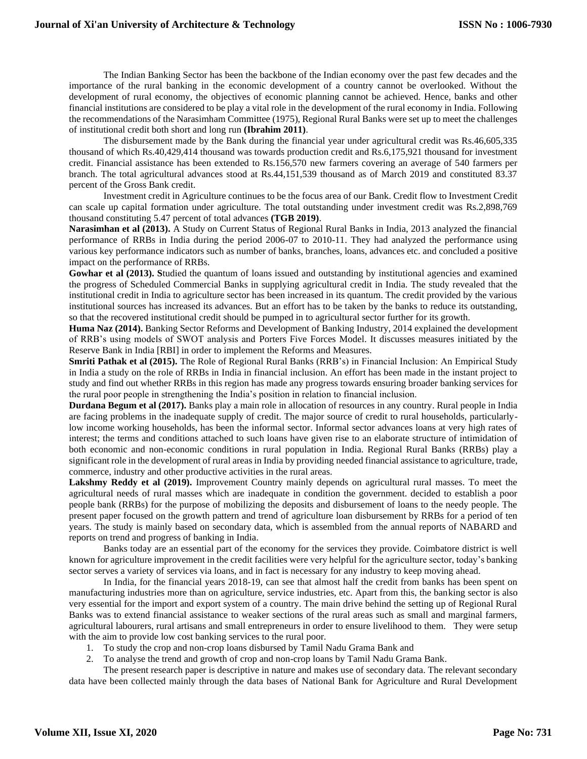The Indian Banking Sector has been the backbone of the Indian economy over the past few decades and the importance of the rural banking in the economic development of a country cannot be overlooked. Without the development of rural economy, the objectives of economic planning cannot be achieved. Hence, banks and other financial institutions are considered to be play a vital role in the development of the rural economy in India. Following the recommendations of the Narasimham Committee (1975), Regional Rural Banks were set up to meet the challenges of institutional credit both short and long run **(Ibrahim 2011)**.

The disbursement made by the Bank during the financial year under agricultural credit was Rs.46,605,335 thousand of which Rs.40,429,414 thousand was towards production credit and Rs.6,175,921 thousand for investment credit. Financial assistance has been extended to Rs.156,570 new farmers covering an average of 540 farmers per branch. The total agricultural advances stood at Rs.44,151,539 thousand as of March 2019 and constituted 83.37 percent of the Gross Bank credit.

Investment credit in Agriculture continues to be the focus area of our Bank. Credit flow to Investment Credit can scale up capital formation under agriculture. The total outstanding under investment credit was Rs.2,898,769 thousand constituting 5.47 percent of total advances **(TGB 2019)**.

**Narasimhan et al (2013).** A Study on Current Status of Regional Rural Banks in India, 2013 analyzed the financial performance of RRBs in India during the period 2006-07 to 2010-11. They had analyzed the performance using various key performance indicators such as number of banks, branches, loans, advances etc. and concluded a positive impact on the performance of RRBs.

Gowhar et al (2013). Studied the quantum of loans issued and outstanding by institutional agencies and examined the progress of Scheduled Commercial Banks in supplying agricultural credit in India. The study revealed that the institutional credit in India to agriculture sector has been increased in its quantum. The credit provided by the various institutional sources has increased its advances. But an effort has to be taken by the banks to reduce its outstanding, so that the recovered institutional credit should be pumped in to agricultural sector further for its growth.

**Huma Naz (2014).** Banking Sector Reforms and Development of Banking Industry, 2014 explained the development of RRB's using models of SWOT analysis and Porters Five Forces Model. It discusses measures initiated by the Reserve Bank in India [RBI] in order to implement the Reforms and Measures.

**Smriti Pathak et al (2015).** The Role of Regional Rural Banks (RRB's) in Financial Inclusion: An Empirical Study in India a study on the role of RRBs in India in financial inclusion. An effort has been made in the instant project to study and find out whether RRBs in this region has made any progress towards ensuring broader banking services for the rural poor people in strengthening the India's position in relation to financial inclusion.

**Durdana Begum et al (2017).** Banks play a main role in allocation of resources in any country. Rural people in India are facing problems in the inadequate supply of credit. The major source of credit to rural households, particularlylow income working households, has been the informal sector. Informal sector advances loans at very high rates of interest; the terms and conditions attached to such loans have given rise to an elaborate structure of intimidation of both economic and non-economic conditions in rural population in India. Regional Rural Banks (RRBs) play a significant role in the development of rural areas in India by providing needed financial assistance to agriculture, trade, commerce, industry and other productive activities in the rural areas.

**Lakshmy Reddy et al (2019).** Improvement Country mainly depends on agricultural rural masses. To meet the agricultural needs of rural masses which are inadequate in condition the government. decided to establish a poor people bank (RRBs) for the purpose of mobilizing the deposits and disbursement of loans to the needy people. The present paper focused on the growth pattern and trend of agriculture loan disbursement by RRBs for a period of ten years. The study is mainly based on secondary data, which is assembled from the annual reports of NABARD and reports on trend and progress of banking in India.

Banks today are an essential part of the economy for the services they provide. Coimbatore district is well known for agriculture improvement in the credit facilities were very helpful for the agriculture sector, today's banking sector serves a variety of services via loans, and in fact is necessary for any industry to keep moving ahead.

In India, for the financial years 2018-19, can see that almost half the credit from banks has been spent on manufacturing industries more than on agriculture, service industries, etc. Apart from this, the banking sector is also very essential for the import and export system of a country. The main drive behind the setting up of Regional Rural Banks was to extend financial assistance to weaker sections of the rural areas such as small and marginal farmers, agricultural labourers, rural artisans and small entrepreneurs in order to ensure livelihood to them. They were setup with the aim to provide low cost banking services to the rural poor.

- 1. To study the crop and non-crop loans disbursed by Tamil Nadu Grama Bank and
- 2. To analyse the trend and growth of crop and non-crop loans by Tamil Nadu Grama Bank.

The present research paper is descriptive in nature and makes use of secondary data. The relevant secondary data have been collected mainly through the data bases of National Bank for Agriculture and Rural Development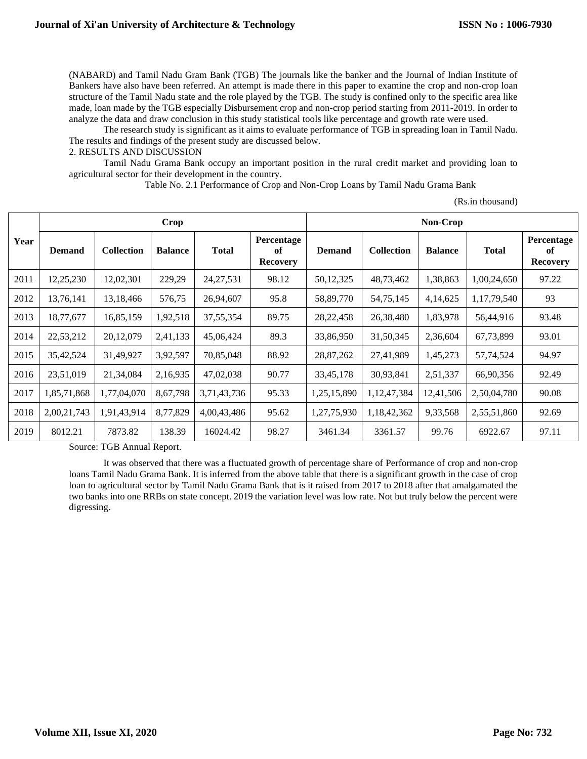(NABARD) and Tamil Nadu Gram Bank (TGB) The journals like the banker and the Journal of Indian Institute of Bankers have also have been referred. An attempt is made there in this paper to examine the crop and non-crop loan structure of the Tamil Nadu state and the role played by the TGB. The study is confined only to the specific area like made, loan made by the TGB especially Disbursement crop and non-crop period starting from 2011-2019. In order to analyze the data and draw conclusion in this study statistical tools like percentage and growth rate were used.

The research study is significant as it aims to evaluate performance of TGB in spreading loan in Tamil Nadu. The results and findings of the present study are discussed below.

#### 2. RESULTS AND DISCUSSION

Tamil Nadu Grama Bank occupy an important position in the rural credit market and providing loan to agricultural sector for their development in the country.

Table No. 2.1 Performance of Crop and Non-Crop Loans by Tamil Nadu Grama Bank

|  | (Rs.in thousand) |
|--|------------------|
|--|------------------|

|      | Crop          |                   |                |              | Non-Crop                            |               |                   |                |              |                                     |
|------|---------------|-------------------|----------------|--------------|-------------------------------------|---------------|-------------------|----------------|--------------|-------------------------------------|
| Year | <b>Demand</b> | <b>Collection</b> | <b>Balance</b> | <b>Total</b> | Percentage<br>of<br><b>Recovery</b> | <b>Demand</b> | <b>Collection</b> | <b>Balance</b> | <b>Total</b> | Percentage<br>of<br><b>Recovery</b> |
| 2011 | 12,25,230     | 12,02,301         | 229,29         | 24, 27, 531  | 98.12                               | 50,12,325     | 48,73,462         | 1,38,863       | 1,00,24,650  | 97.22                               |
| 2012 | 13,76,141     | 13,18,466         | 576,75         | 26,94,607    | 95.8                                | 58,89,770     | 54,75,145         | 4,14,625       | 1,17,79,540  | 93                                  |
| 2013 | 18,77,677     | 16,85,159         | 1,92,518       | 37, 55, 354  | 89.75                               | 28, 22, 458   | 26,38,480         | 1,83,978       | 56,44,916    | 93.48                               |
| 2014 | 22,53,212     | 20,12,079         | 2,41,133       | 45,06,424    | 89.3                                | 33,86,950     | 31,50,345         | 2,36,604       | 67,73,899    | 93.01                               |
| 2015 | 35,42,524     | 31,49,927         | 3,92,597       | 70,85,048    | 88.92                               | 28,87,262     | 27,41,989         | 1,45,273       | 57,74,524    | 94.97                               |
| 2016 | 23,51,019     | 21,34,084         | 2,16,935       | 47,02,038    | 90.77                               | 33,45,178     | 30,93,841         | 2,51,337       | 66,90,356    | 92.49                               |
| 2017 | 1,85,71,868   | 1,77,04,070       | 8,67,798       | 3,71,43,736  | 95.33                               | 1,25,15,890   | 1,12,47,384       | 12,41,506      | 2,50,04,780  | 90.08                               |
| 2018 | 2,00,21,743   | 1,91,43,914       | 8,77,829       | 4,00,43,486  | 95.62                               | 1,27,75,930   | 1,18,42,362       | 9,33,568       | 2,55,51,860  | 92.69                               |
| 2019 | 8012.21       | 7873.82           | 138.39         | 16024.42     | 98.27                               | 3461.34       | 3361.57           | 99.76          | 6922.67      | 97.11                               |

Source: TGB Annual Report.

It was observed that there was a fluctuated growth of percentage share of Performance of crop and non-crop loans Tamil Nadu Grama Bank. It is inferred from the above table that there is a significant growth in the case of crop loan to agricultural sector by Tamil Nadu Grama Bank that is it raised from 2017 to 2018 after that amalgamated the two banks into one RRBs on state concept. 2019 the variation level was low rate. Not but truly below the percent were digressing.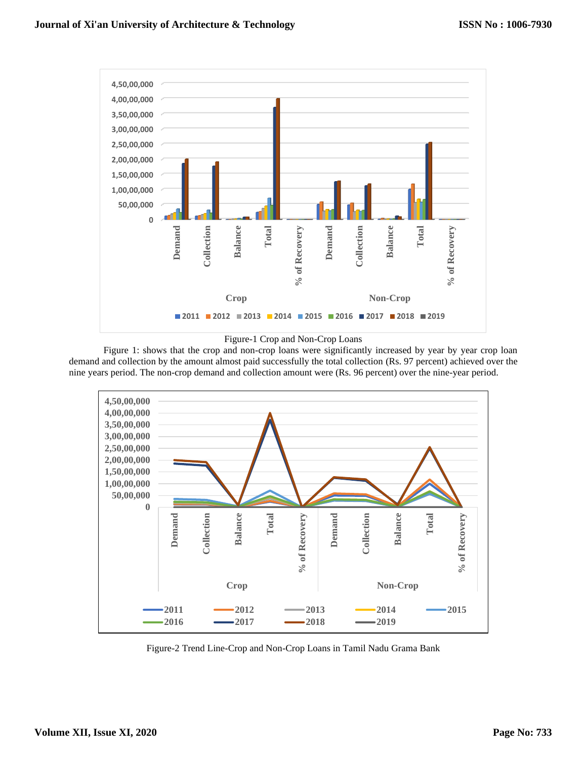

Figure-1 Crop and Non-Crop Loans

Figure 1: shows that the crop and non-crop loans were significantly increased by year by year crop loan demand and collection by the amount almost paid successfully the total collection (Rs. 97 percent) achieved over the nine years period. The non-crop demand and collection amount were (Rs. 96 percent) over the nine-year period.



Figure-2 Trend Line-Crop and Non-Crop Loans in Tamil Nadu Grama Bank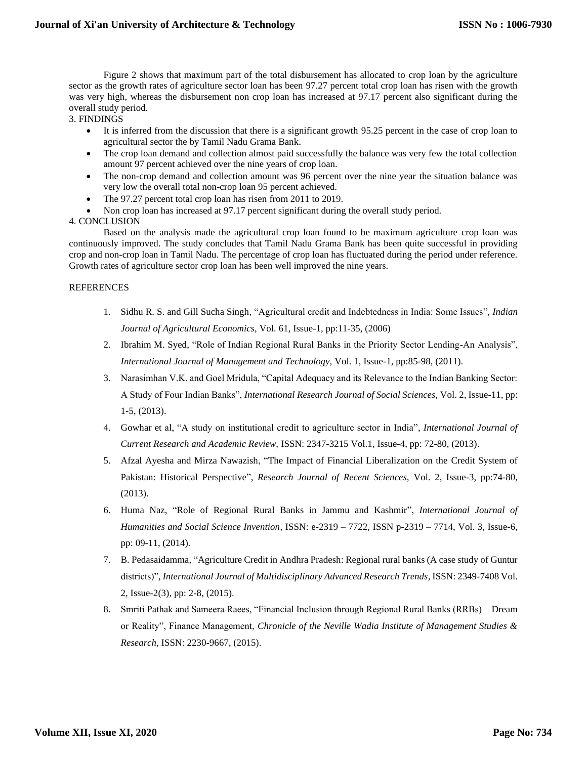Figure 2 shows that maximum part of the total disbursement has allocated to crop loan by the agriculture sector as the growth rates of agriculture sector loan has been 97.27 percent total crop loan has risen with the growth was very high, whereas the disbursement non crop loan has increased at 97.17 percent also significant during the overall study period.

3. FINDINGS

- It is inferred from the discussion that there is a significant growth 95.25 percent in the case of crop loan to agricultural sector the by Tamil Nadu Grama Bank.
- The crop loan demand and collection almost paid successfully the balance was very few the total collection amount 97 percent achieved over the nine years of crop loan.
- The non-crop demand and collection amount was 96 percent over the nine year the situation balance was very low the overall total non-crop loan 95 percent achieved.
- The 97.27 percent total crop loan has risen from 2011 to 2019.
- Non crop loan has increased at 97.17 percent significant during the overall study period.

### 4. CONCLUSION

Based on the analysis made the agricultural crop loan found to be maximum agriculture crop loan was continuously improved. The study concludes that Tamil Nadu Grama Bank has been quite successful in providing crop and non-crop loan in Tamil Nadu. The percentage of crop loan has fluctuated during the period under reference. Growth rates of agriculture sector crop loan has been well improved the nine years.

#### REFERENCES

- 1. Sidhu R. S. and Gill Sucha Singh, "Agricultural credit and Indebtedness in India: Some Issues", *Indian Journal of Agricultural Economics,* Vol. 61, Issue-1, pp:11-35, (2006)
- 2. Ibrahim M. Syed, "Role of Indian Regional Rural Banks in the Priority Sector Lending-An Analysis", *International Journal of Management and Technology,* Vol. 1, Issue-1, pp:85-98, (2011).
- 3. Narasimhan V.K. and Goel Mridula, "Capital Adequacy and its Relevance to the Indian Banking Sector: A Study of Four Indian Banks", *International Research Journal of Social Sciences,* Vol. 2, Issue-11, pp: 1-5, (2013).
- 4. Gowhar et al, "A study on institutional credit to agriculture sector in India", *International Journal of Current Research and Academic Review,* ISSN: 2347-3215 Vol.1, Issue-4, pp: 72-80, (2013).
- 5. Afzal Ayesha and Mirza Nawazish, "The Impact of Financial Liberalization on the Credit System of Pakistan: Historical Perspective", *Research Journal of Recent Sciences,* Vol. 2, Issue-3, pp:74-80, (2013).
- 6. Huma Naz, "Role of Regional Rural Banks in Jammu and Kashmir", *International Journal of Humanities and Social Science Invention,* ISSN: e-2319 – 7722, ISSN p-2319 – 7714, Vol. 3, Issue-6, pp: 09-11, (2014).
- 7. B. Pedasaidamma, "Agriculture Credit in Andhra Pradesh: Regional rural banks (A case study of Guntur districts)", *International Journal of Multidisciplinary Advanced Research Trends,* ISSN: 2349-7408 Vol. 2, Issue-2(3), pp: 2-8, (2015).
- 8. Smriti Pathak and Sameera Raees, "Financial Inclusion through Regional Rural Banks (RRBs) Dream or Reality", Finance Management, *Chronicle of the Neville Wadia Institute of Management Studies & Research,* ISSN: 2230-9667, (2015).